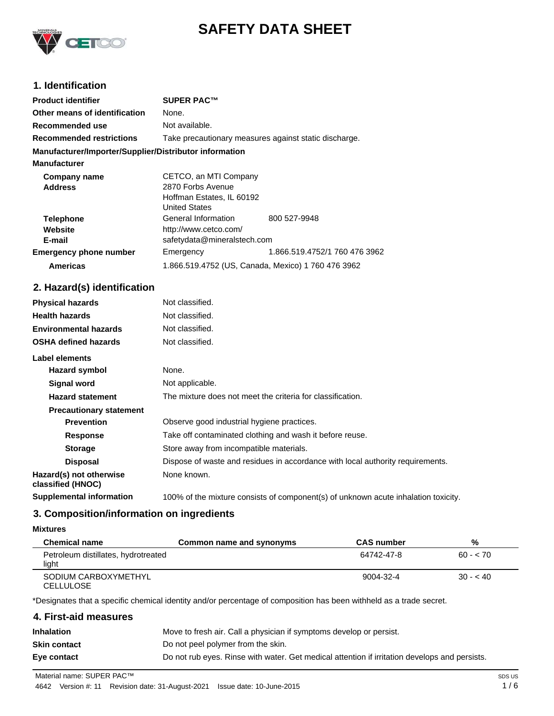

# **SAFETY DATA SHEET**

# **1. Identification**

| <b>Product identifier</b>                              | <b>SUPER PAC™</b>                                     |                               |
|--------------------------------------------------------|-------------------------------------------------------|-------------------------------|
| Other means of identification                          | None.                                                 |                               |
| Recommended use                                        | Not available.                                        |                               |
| <b>Recommended restrictions</b>                        | Take precautionary measures against static discharge. |                               |
| Manufacturer/Importer/Supplier/Distributor information |                                                       |                               |
| <b>Manufacturer</b>                                    |                                                       |                               |
| Company name                                           | CETCO, an MTI Company                                 |                               |
| <b>Address</b>                                         | 2870 Forbs Avenue                                     |                               |
|                                                        | Hoffman Estates, IL 60192                             |                               |
|                                                        | <b>United States</b>                                  |                               |
| <b>Telephone</b>                                       | General Information                                   | 800 527-9948                  |
| Website                                                | http://www.cetco.com/                                 |                               |
| E-mail                                                 | safetydata@mineralstech.com                           |                               |
| <b>Emergency phone number</b>                          | Emergency                                             | 1.866.519.4752/1 760 476 3962 |
| <b>Americas</b>                                        | 1.866.519.4752 (US, Canada, Mexico) 1 760 476 3962    |                               |

# **2. Hazard(s) identification**

| <b>Physical hazards</b>                      | Not classified.                                                                    |
|----------------------------------------------|------------------------------------------------------------------------------------|
| <b>Health hazards</b>                        | Not classified.                                                                    |
| <b>Environmental hazards</b>                 | Not classified.                                                                    |
| <b>OSHA defined hazards</b>                  | Not classified.                                                                    |
| Label elements                               |                                                                                    |
| Hazard symbol                                | None.                                                                              |
| Signal word                                  | Not applicable.                                                                    |
| <b>Hazard statement</b>                      | The mixture does not meet the criteria for classification.                         |
| <b>Precautionary statement</b>               |                                                                                    |
| <b>Prevention</b>                            | Observe good industrial hygiene practices.                                         |
| <b>Response</b>                              | Take off contaminated clothing and wash it before reuse.                           |
| <b>Storage</b>                               | Store away from incompatible materials.                                            |
| <b>Disposal</b>                              | Dispose of waste and residues in accordance with local authority requirements.     |
| Hazard(s) not otherwise<br>classified (HNOC) | None known.                                                                        |
| <b>Supplemental information</b>              | 100% of the mixture consists of component(s) of unknown acute inhalation toxicity. |

# **3. Composition/information on ingredients**

### **Mixtures**

| <b>Chemical name</b>                         | Common name and synonyms | <b>CAS number</b> | %         |
|----------------------------------------------|--------------------------|-------------------|-----------|
| Petroleum distillates, hydrotreated<br>light |                          | 64742-47-8        | $60 - 70$ |
| SODIUM CARBOXYMETHYL<br><b>CELLULOSE</b>     |                          | 9004-32-4         | $30 - 40$ |

\*Designates that a specific chemical identity and/or percentage of composition has been withheld as a trade secret.

| 4. First-aid measures |                                                                                               |
|-----------------------|-----------------------------------------------------------------------------------------------|
| Inhalation            | Move to fresh air. Call a physician if symptoms develop or persist.                           |
| Skin contact          | Do not peel polymer from the skin.                                                            |
| Eye contact           | Do not rub eyes. Rinse with water. Get medical attention if irritation develops and persists. |
|                       |                                                                                               |

Material name: SUPER PAC™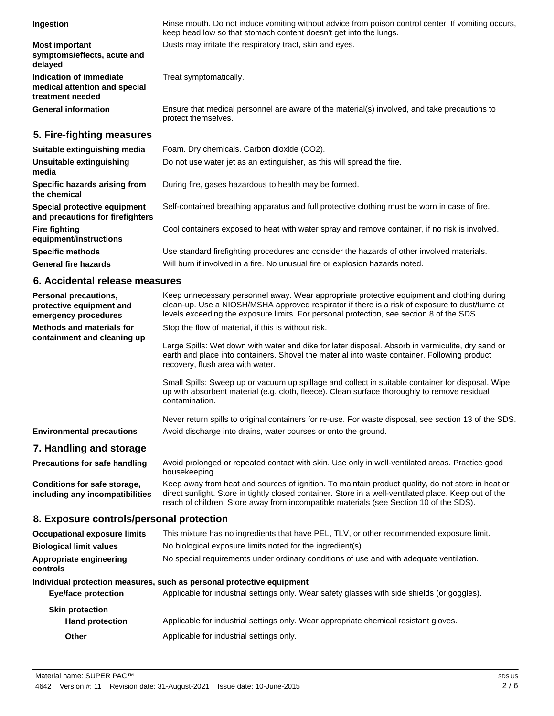| Ingestion                                                                           | Rinse mouth. Do not induce vomiting without advice from poison control center. If vomiting occurs,<br>keep head low so that stomach content doesn't get into the lungs. |
|-------------------------------------------------------------------------------------|-------------------------------------------------------------------------------------------------------------------------------------------------------------------------|
| <b>Most important</b><br>symptoms/effects, acute and<br>delaved                     | Dusts may irritate the respiratory tract, skin and eyes.                                                                                                                |
| <b>Indication of immediate</b><br>medical attention and special<br>treatment needed | Treat symptomatically.                                                                                                                                                  |
| <b>General information</b>                                                          | Ensure that medical personnel are aware of the material(s) involved, and take precautions to<br>protect themselves.                                                     |

# **5. Fire-fighting measures**

| Suitable extinguishing media                                     | Foam. Dry chemicals. Carbon dioxide (CO2).                                                     |
|------------------------------------------------------------------|------------------------------------------------------------------------------------------------|
| Unsuitable extinguishing<br>media                                | Do not use water jet as an extinguisher, as this will spread the fire.                         |
| Specific hazards arising from<br>the chemical                    | During fire, gases hazardous to health may be formed.                                          |
| Special protective equipment<br>and precautions for firefighters | Self-contained breathing apparatus and full protective clothing must be worn in case of fire.  |
| <b>Fire fighting</b><br>equipment/instructions                   | Cool containers exposed to heat with water spray and remove container, if no risk is involved. |
| <b>Specific methods</b>                                          | Use standard firefighting procedures and consider the hazards of other involved materials.     |
| <b>General fire hazards</b>                                      | Will burn if involved in a fire. No unusual fire or explosion hazards noted.                   |

# **6. Accidental release measures**

| Personal precautions,<br>protective equipment and<br>emergency procedures | Keep unnecessary personnel away. Wear appropriate protective equipment and clothing during<br>clean-up. Use a NIOSH/MSHA approved respirator if there is a risk of exposure to dust/fume at<br>levels exceeding the exposure limits. For personal protection, see section 8 of the SDS.              |  |
|---------------------------------------------------------------------------|------------------------------------------------------------------------------------------------------------------------------------------------------------------------------------------------------------------------------------------------------------------------------------------------------|--|
| <b>Methods and materials for</b>                                          | Stop the flow of material, if this is without risk.                                                                                                                                                                                                                                                  |  |
| containment and cleaning up                                               | Large Spills: Wet down with water and dike for later disposal. Absorb in vermiculite, dry sand or<br>earth and place into containers. Shovel the material into waste container. Following product<br>recovery, flush area with water.                                                                |  |
|                                                                           | Small Spills: Sweep up or vacuum up spillage and collect in suitable container for disposal. Wipe<br>up with absorbent material (e.g. cloth, fleece). Clean surface thoroughly to remove residual<br>contamination.                                                                                  |  |
|                                                                           | Never return spills to original containers for re-use. For waste disposal, see section 13 of the SDS.                                                                                                                                                                                                |  |
| <b>Environmental precautions</b>                                          | Avoid discharge into drains, water courses or onto the ground.                                                                                                                                                                                                                                       |  |
| 7. Handling and storage                                                   |                                                                                                                                                                                                                                                                                                      |  |
| <b>Precautions for safe handling</b>                                      | Avoid prolonged or repeated contact with skin. Use only in well-ventilated areas. Practice good<br>housekeeping.                                                                                                                                                                                     |  |
| Conditions for safe storage,<br>including any incompatibilities           | Keep away from heat and sources of ignition. To maintain product quality, do not store in heat or<br>direct sunlight. Store in tightly closed container. Store in a well-ventilated place. Keep out of the<br>reach of children. Store away from incompatible materials (see Section 10 of the SDS). |  |
| 8. Exposure controls/personal protection                                  |                                                                                                                                                                                                                                                                                                      |  |
| <b>Occupational exposure limits</b>                                       | This mixture has no ingredients that have PEL, TLV, or other recommended exposure limit.                                                                                                                                                                                                             |  |
| <b>Biological limit values</b>                                            | No biological exposure limits noted for the ingredient(s).                                                                                                                                                                                                                                           |  |
| Appropriate engineering<br>controls                                       | No special requirements under ordinary conditions of use and with adequate ventilation.                                                                                                                                                                                                              |  |
| Individual protection measures, such as personal protective equipment     |                                                                                                                                                                                                                                                                                                      |  |
| <b>Eye/face protection</b>                                                | Applicable for industrial settings only. Wear safety glasses with side shields (or goggles).                                                                                                                                                                                                         |  |
| <b>Skin protection</b><br><b>Hand protection</b>                          | Applicable for industrial settings only. Wear appropriate chemical resistant gloves.                                                                                                                                                                                                                 |  |
| <b>Other</b>                                                              | Applicable for industrial settings only.                                                                                                                                                                                                                                                             |  |
|                                                                           |                                                                                                                                                                                                                                                                                                      |  |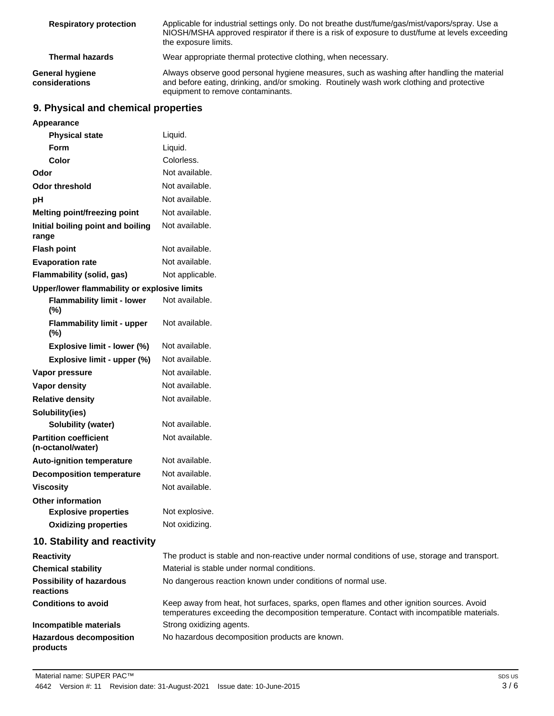| <b>Respiratory protection</b>     | Applicable for industrial settings only. Do not breathe dust/fume/gas/mist/vapors/spray. Use a<br>NIOSH/MSHA approved respirator if there is a risk of exposure to dust/fume at levels exceeding<br>the exposure limits.    |
|-----------------------------------|-----------------------------------------------------------------------------------------------------------------------------------------------------------------------------------------------------------------------------|
| <b>Thermal hazards</b>            | Wear appropriate thermal protective clothing, when necessary.                                                                                                                                                               |
| General hygiene<br>considerations | Always observe good personal hygiene measures, such as washing after handling the material<br>and before eating, drinking, and/or smoking. Routinely wash work clothing and protective<br>equipment to remove contaminants. |

# **9. Physical and chemical properties**

| Appearance                                        |                                                                                                                                                                                        |
|---------------------------------------------------|----------------------------------------------------------------------------------------------------------------------------------------------------------------------------------------|
| <b>Physical state</b>                             | Liquid.                                                                                                                                                                                |
| <b>Form</b>                                       | Liquid.                                                                                                                                                                                |
| Color                                             | Colorless.                                                                                                                                                                             |
| Odor                                              | Not available.                                                                                                                                                                         |
| <b>Odor threshold</b>                             | Not available.                                                                                                                                                                         |
| pH                                                | Not available.                                                                                                                                                                         |
| <b>Melting point/freezing point</b>               | Not available.                                                                                                                                                                         |
| Initial boiling point and boiling<br>range        | Not available.                                                                                                                                                                         |
| <b>Flash point</b>                                | Not available.                                                                                                                                                                         |
| <b>Evaporation rate</b>                           | Not available.                                                                                                                                                                         |
| Flammability (solid, gas)                         | Not applicable.                                                                                                                                                                        |
| Upper/lower flammability or explosive limits      |                                                                                                                                                                                        |
| <b>Flammability limit - lower</b><br>$(\%)$       | Not available.                                                                                                                                                                         |
| <b>Flammability limit - upper</b><br>$(\%)$       | Not available.                                                                                                                                                                         |
| Explosive limit - lower (%)                       | Not available.                                                                                                                                                                         |
| Explosive limit - upper (%)                       | Not available.                                                                                                                                                                         |
| Vapor pressure                                    | Not available.                                                                                                                                                                         |
| Vapor density                                     | Not available.                                                                                                                                                                         |
| <b>Relative density</b>                           | Not available.                                                                                                                                                                         |
| Solubility(ies)                                   |                                                                                                                                                                                        |
| <b>Solubility (water)</b>                         | Not available.                                                                                                                                                                         |
| <b>Partition coefficient</b><br>(n-octanol/water) | Not available.                                                                                                                                                                         |
| <b>Auto-ignition temperature</b>                  | Not available.                                                                                                                                                                         |
| <b>Decomposition temperature</b>                  | Not available.                                                                                                                                                                         |
| <b>Viscositv</b>                                  | Not available.                                                                                                                                                                         |
| <b>Other information</b>                          |                                                                                                                                                                                        |
| <b>Explosive properties</b>                       | Not explosive.                                                                                                                                                                         |
| <b>Oxidizing properties</b>                       | Not oxidizing.                                                                                                                                                                         |
| 10. Stability and reactivity                      |                                                                                                                                                                                        |
| <b>Reactivity</b>                                 | The product is stable and non-reactive under normal conditions of use, storage and transport.                                                                                          |
| <b>Chemical stability</b>                         | Material is stable under normal conditions.                                                                                                                                            |
| <b>Possibility of hazardous</b><br>reactions      | No dangerous reaction known under conditions of normal use.                                                                                                                            |
| <b>Conditions to avoid</b>                        | Keep away from heat, hot surfaces, sparks, open flames and other ignition sources. Avoid<br>temperatures exceeding the decomposition temperature. Contact with incompatible materials. |
| Incompatible materials                            | Strong oxidizing agents.                                                                                                                                                               |
| <b>Hazardous decomposition</b><br>products        | No hazardous decomposition products are known.                                                                                                                                         |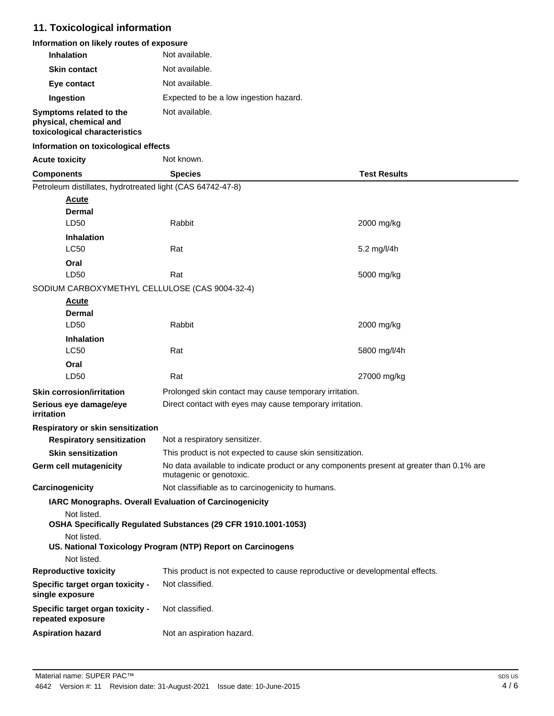# **11. Toxicological information**

| Information on likely routes of exposure |  |
|------------------------------------------|--|
|------------------------------------------|--|

| <b>Inhalation</b>       | Not available.                         |
|-------------------------|----------------------------------------|
| <b>Skin contact</b>     | Not available.                         |
| Eye contact             | Not available.                         |
| Ingestion               | Expected to be a low ingestion hazard. |
| Symptoms related to the | Not available.                         |

### **physical, chemical and toxicological characteristics**

### **Information on toxicological effects**

| <b>Acute toxicity</b> |
|-----------------------|
|                       |

**Not known** 

| <b>Test Results</b><br><b>Species</b><br>Components<br>Petroleum distillates, hydrotreated light (CAS 64742-47-8)<br>Acute<br>Dermal<br>Rabbit<br>LD <sub>50</sub><br>2000 mg/kg<br><b>Inhalation</b><br><b>LC50</b><br>Rat<br>5.2 mg/l/4h<br>Oral<br>LD50<br>Rat<br>5000 mg/kg<br>SODIUM CARBOXYMETHYL CELLULOSE (CAS 9004-32-4)<br><u>Acute</u><br><b>Dermal</b><br>LD50<br>Rabbit<br>2000 mg/kg<br><b>Inhalation</b><br><b>LC50</b><br>Rat<br>5800 mg/l/4h<br>Oral<br>LD50<br>Rat<br>27000 mg/kg<br><b>Skin corrosion/irritation</b><br>Prolonged skin contact may cause temporary irritation.<br>Direct contact with eyes may cause temporary irritation.<br>Serious eye damage/eye<br>irritation<br>Respiratory or skin sensitization<br><b>Respiratory sensitization</b><br>Not a respiratory sensitizer.<br><b>Skin sensitization</b><br>This product is not expected to cause skin sensitization.<br>No data available to indicate product or any components present at greater than 0.1% are<br>Germ cell mutagenicity<br>mutagenic or genotoxic.<br>Not classifiable as to carcinogenicity to humans.<br>Carcinogenicity<br>IARC Monographs. Overall Evaluation of Carcinogenicity<br>Not listed.<br>OSHA Specifically Regulated Substances (29 CFR 1910.1001-1053)<br>Not listed.<br>US. National Toxicology Program (NTP) Report on Carcinogens<br>Not listed.<br><b>Reproductive toxicity</b><br>This product is not expected to cause reproductive or developmental effects. |                                  |                 |  |  |
|--------------------------------------------------------------------------------------------------------------------------------------------------------------------------------------------------------------------------------------------------------------------------------------------------------------------------------------------------------------------------------------------------------------------------------------------------------------------------------------------------------------------------------------------------------------------------------------------------------------------------------------------------------------------------------------------------------------------------------------------------------------------------------------------------------------------------------------------------------------------------------------------------------------------------------------------------------------------------------------------------------------------------------------------------------------------------------------------------------------------------------------------------------------------------------------------------------------------------------------------------------------------------------------------------------------------------------------------------------------------------------------------------------------------------------------------------------------------------------------------|----------------------------------|-----------------|--|--|
|                                                                                                                                                                                                                                                                                                                                                                                                                                                                                                                                                                                                                                                                                                                                                                                                                                                                                                                                                                                                                                                                                                                                                                                                                                                                                                                                                                                                                                                                                            |                                  |                 |  |  |
|                                                                                                                                                                                                                                                                                                                                                                                                                                                                                                                                                                                                                                                                                                                                                                                                                                                                                                                                                                                                                                                                                                                                                                                                                                                                                                                                                                                                                                                                                            |                                  |                 |  |  |
|                                                                                                                                                                                                                                                                                                                                                                                                                                                                                                                                                                                                                                                                                                                                                                                                                                                                                                                                                                                                                                                                                                                                                                                                                                                                                                                                                                                                                                                                                            |                                  |                 |  |  |
|                                                                                                                                                                                                                                                                                                                                                                                                                                                                                                                                                                                                                                                                                                                                                                                                                                                                                                                                                                                                                                                                                                                                                                                                                                                                                                                                                                                                                                                                                            |                                  |                 |  |  |
|                                                                                                                                                                                                                                                                                                                                                                                                                                                                                                                                                                                                                                                                                                                                                                                                                                                                                                                                                                                                                                                                                                                                                                                                                                                                                                                                                                                                                                                                                            |                                  |                 |  |  |
|                                                                                                                                                                                                                                                                                                                                                                                                                                                                                                                                                                                                                                                                                                                                                                                                                                                                                                                                                                                                                                                                                                                                                                                                                                                                                                                                                                                                                                                                                            |                                  |                 |  |  |
|                                                                                                                                                                                                                                                                                                                                                                                                                                                                                                                                                                                                                                                                                                                                                                                                                                                                                                                                                                                                                                                                                                                                                                                                                                                                                                                                                                                                                                                                                            |                                  |                 |  |  |
|                                                                                                                                                                                                                                                                                                                                                                                                                                                                                                                                                                                                                                                                                                                                                                                                                                                                                                                                                                                                                                                                                                                                                                                                                                                                                                                                                                                                                                                                                            |                                  |                 |  |  |
|                                                                                                                                                                                                                                                                                                                                                                                                                                                                                                                                                                                                                                                                                                                                                                                                                                                                                                                                                                                                                                                                                                                                                                                                                                                                                                                                                                                                                                                                                            |                                  |                 |  |  |
|                                                                                                                                                                                                                                                                                                                                                                                                                                                                                                                                                                                                                                                                                                                                                                                                                                                                                                                                                                                                                                                                                                                                                                                                                                                                                                                                                                                                                                                                                            |                                  |                 |  |  |
|                                                                                                                                                                                                                                                                                                                                                                                                                                                                                                                                                                                                                                                                                                                                                                                                                                                                                                                                                                                                                                                                                                                                                                                                                                                                                                                                                                                                                                                                                            |                                  |                 |  |  |
|                                                                                                                                                                                                                                                                                                                                                                                                                                                                                                                                                                                                                                                                                                                                                                                                                                                                                                                                                                                                                                                                                                                                                                                                                                                                                                                                                                                                                                                                                            |                                  |                 |  |  |
|                                                                                                                                                                                                                                                                                                                                                                                                                                                                                                                                                                                                                                                                                                                                                                                                                                                                                                                                                                                                                                                                                                                                                                                                                                                                                                                                                                                                                                                                                            |                                  |                 |  |  |
|                                                                                                                                                                                                                                                                                                                                                                                                                                                                                                                                                                                                                                                                                                                                                                                                                                                                                                                                                                                                                                                                                                                                                                                                                                                                                                                                                                                                                                                                                            |                                  |                 |  |  |
|                                                                                                                                                                                                                                                                                                                                                                                                                                                                                                                                                                                                                                                                                                                                                                                                                                                                                                                                                                                                                                                                                                                                                                                                                                                                                                                                                                                                                                                                                            |                                  |                 |  |  |
|                                                                                                                                                                                                                                                                                                                                                                                                                                                                                                                                                                                                                                                                                                                                                                                                                                                                                                                                                                                                                                                                                                                                                                                                                                                                                                                                                                                                                                                                                            |                                  |                 |  |  |
|                                                                                                                                                                                                                                                                                                                                                                                                                                                                                                                                                                                                                                                                                                                                                                                                                                                                                                                                                                                                                                                                                                                                                                                                                                                                                                                                                                                                                                                                                            |                                  |                 |  |  |
|                                                                                                                                                                                                                                                                                                                                                                                                                                                                                                                                                                                                                                                                                                                                                                                                                                                                                                                                                                                                                                                                                                                                                                                                                                                                                                                                                                                                                                                                                            |                                  |                 |  |  |
|                                                                                                                                                                                                                                                                                                                                                                                                                                                                                                                                                                                                                                                                                                                                                                                                                                                                                                                                                                                                                                                                                                                                                                                                                                                                                                                                                                                                                                                                                            |                                  |                 |  |  |
|                                                                                                                                                                                                                                                                                                                                                                                                                                                                                                                                                                                                                                                                                                                                                                                                                                                                                                                                                                                                                                                                                                                                                                                                                                                                                                                                                                                                                                                                                            |                                  |                 |  |  |
|                                                                                                                                                                                                                                                                                                                                                                                                                                                                                                                                                                                                                                                                                                                                                                                                                                                                                                                                                                                                                                                                                                                                                                                                                                                                                                                                                                                                                                                                                            |                                  |                 |  |  |
|                                                                                                                                                                                                                                                                                                                                                                                                                                                                                                                                                                                                                                                                                                                                                                                                                                                                                                                                                                                                                                                                                                                                                                                                                                                                                                                                                                                                                                                                                            |                                  |                 |  |  |
|                                                                                                                                                                                                                                                                                                                                                                                                                                                                                                                                                                                                                                                                                                                                                                                                                                                                                                                                                                                                                                                                                                                                                                                                                                                                                                                                                                                                                                                                                            |                                  |                 |  |  |
|                                                                                                                                                                                                                                                                                                                                                                                                                                                                                                                                                                                                                                                                                                                                                                                                                                                                                                                                                                                                                                                                                                                                                                                                                                                                                                                                                                                                                                                                                            |                                  |                 |  |  |
|                                                                                                                                                                                                                                                                                                                                                                                                                                                                                                                                                                                                                                                                                                                                                                                                                                                                                                                                                                                                                                                                                                                                                                                                                                                                                                                                                                                                                                                                                            |                                  |                 |  |  |
|                                                                                                                                                                                                                                                                                                                                                                                                                                                                                                                                                                                                                                                                                                                                                                                                                                                                                                                                                                                                                                                                                                                                                                                                                                                                                                                                                                                                                                                                                            |                                  |                 |  |  |
|                                                                                                                                                                                                                                                                                                                                                                                                                                                                                                                                                                                                                                                                                                                                                                                                                                                                                                                                                                                                                                                                                                                                                                                                                                                                                                                                                                                                                                                                                            |                                  |                 |  |  |
|                                                                                                                                                                                                                                                                                                                                                                                                                                                                                                                                                                                                                                                                                                                                                                                                                                                                                                                                                                                                                                                                                                                                                                                                                                                                                                                                                                                                                                                                                            |                                  |                 |  |  |
|                                                                                                                                                                                                                                                                                                                                                                                                                                                                                                                                                                                                                                                                                                                                                                                                                                                                                                                                                                                                                                                                                                                                                                                                                                                                                                                                                                                                                                                                                            |                                  |                 |  |  |
|                                                                                                                                                                                                                                                                                                                                                                                                                                                                                                                                                                                                                                                                                                                                                                                                                                                                                                                                                                                                                                                                                                                                                                                                                                                                                                                                                                                                                                                                                            |                                  |                 |  |  |
| single exposure                                                                                                                                                                                                                                                                                                                                                                                                                                                                                                                                                                                                                                                                                                                                                                                                                                                                                                                                                                                                                                                                                                                                                                                                                                                                                                                                                                                                                                                                            | Specific target organ toxicity - | Not classified. |  |  |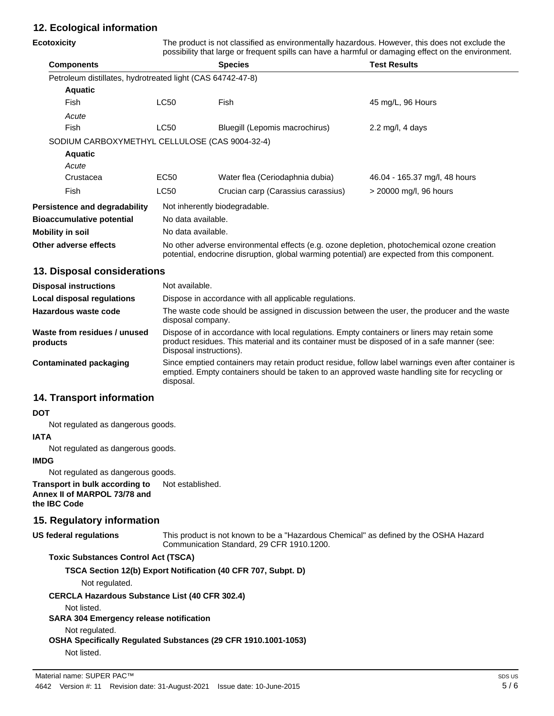# **12. Ecological information**

| Ecotoxicity                                                |                                                                                                                                                                                                                        | The product is not classified as environmentally hazardous. However, this does not exclude the<br>possibility that large or frequent spills can have a harmful or damaging effect on the environment. |                                                                                                    |  |
|------------------------------------------------------------|------------------------------------------------------------------------------------------------------------------------------------------------------------------------------------------------------------------------|-------------------------------------------------------------------------------------------------------------------------------------------------------------------------------------------------------|----------------------------------------------------------------------------------------------------|--|
| <b>Components</b>                                          |                                                                                                                                                                                                                        | <b>Species</b>                                                                                                                                                                                        | <b>Test Results</b>                                                                                |  |
| Petroleum distillates, hydrotreated light (CAS 64742-47-8) |                                                                                                                                                                                                                        |                                                                                                                                                                                                       |                                                                                                    |  |
| <b>Aquatic</b>                                             |                                                                                                                                                                                                                        |                                                                                                                                                                                                       |                                                                                                    |  |
| Fish                                                       | <b>LC50</b>                                                                                                                                                                                                            | Fish                                                                                                                                                                                                  | 45 mg/L, 96 Hours                                                                                  |  |
| Acute                                                      |                                                                                                                                                                                                                        |                                                                                                                                                                                                       |                                                                                                    |  |
| Fish                                                       | <b>LC50</b>                                                                                                                                                                                                            | Bluegill (Lepomis macrochirus)                                                                                                                                                                        | 2.2 mg/l, 4 days                                                                                   |  |
| SODIUM CARBOXYMETHYL CELLULOSE (CAS 9004-32-4)             |                                                                                                                                                                                                                        |                                                                                                                                                                                                       |                                                                                                    |  |
| <b>Aquatic</b>                                             |                                                                                                                                                                                                                        |                                                                                                                                                                                                       |                                                                                                    |  |
| Acute                                                      |                                                                                                                                                                                                                        |                                                                                                                                                                                                       |                                                                                                    |  |
| Crustacea                                                  | EC <sub>50</sub>                                                                                                                                                                                                       | Water flea (Ceriodaphnia dubia)                                                                                                                                                                       | 46.04 - 165.37 mg/l, 48 hours                                                                      |  |
| Fish                                                       | LC50                                                                                                                                                                                                                   | Crucian carp (Carassius carassius)                                                                                                                                                                    | > 20000 mg/l, 96 hours                                                                             |  |
| <b>Persistence and degradability</b>                       | Not inherently biodegradable.                                                                                                                                                                                          |                                                                                                                                                                                                       |                                                                                                    |  |
| <b>Bioaccumulative potential</b>                           | No data available.                                                                                                                                                                                                     |                                                                                                                                                                                                       |                                                                                                    |  |
| Mobility in soil                                           | No data available.                                                                                                                                                                                                     |                                                                                                                                                                                                       |                                                                                                    |  |
| Other adverse effects                                      |                                                                                                                                                                                                                        | No other adverse environmental effects (e.g. ozone depletion, photochemical ozone creation<br>potential, endocrine disruption, global warming potential) are expected from this component.            |                                                                                                    |  |
| 13. Disposal considerations                                |                                                                                                                                                                                                                        |                                                                                                                                                                                                       |                                                                                                    |  |
| <b>Disposal instructions</b>                               | Not available.                                                                                                                                                                                                         |                                                                                                                                                                                                       |                                                                                                    |  |
| <b>Local disposal regulations</b>                          | Dispose in accordance with all applicable regulations.                                                                                                                                                                 |                                                                                                                                                                                                       |                                                                                                    |  |
| <b>Hazardous waste code</b>                                | The waste code should be assigned in discussion between the user, the producer and the waste<br>disposal company.                                                                                                      |                                                                                                                                                                                                       |                                                                                                    |  |
| Waste from residues / unused<br>products                   | Dispose of in accordance with local regulations. Empty containers or liners may retain some<br>product residues. This material and its container must be disposed of in a safe manner (see:<br>Disposal instructions). |                                                                                                                                                                                                       |                                                                                                    |  |
| <b>Contaminated packaging</b>                              | disposal.                                                                                                                                                                                                              | emptied. Empty containers should be taken to an approved waste handling site for recycling or                                                                                                         | Since emptied containers may retain product residue, follow label warnings even after container is |  |

### **14. Transport information**

#### **DOT**

Not regulated as dangerous goods.

### **IATA**

Not regulated as dangerous goods.

### **IMDG**

Not regulated as dangerous goods.

**Transport in bulk according to** Not established. **Annex II of MARPOL 73/78 and the IBC Code**

### **15. Regulatory information**

This product is not known to be a "Hazardous Chemical" as defined by the OSHA Hazard Communication Standard, 29 CFR 1910.1200. **US federal regulations**

### **Toxic Substances Control Act (TSCA)**

**TSCA Section 12(b) Export Notification (40 CFR 707, Subpt. D)**

Not regulated.

**CERCLA Hazardous Substance List (40 CFR 302.4)**

Not listed.

#### **SARA 304 Emergency release notification**

Not regulated.

**OSHA Specifically Regulated Substances (29 CFR 1910.1001-1053)**

Not listed.